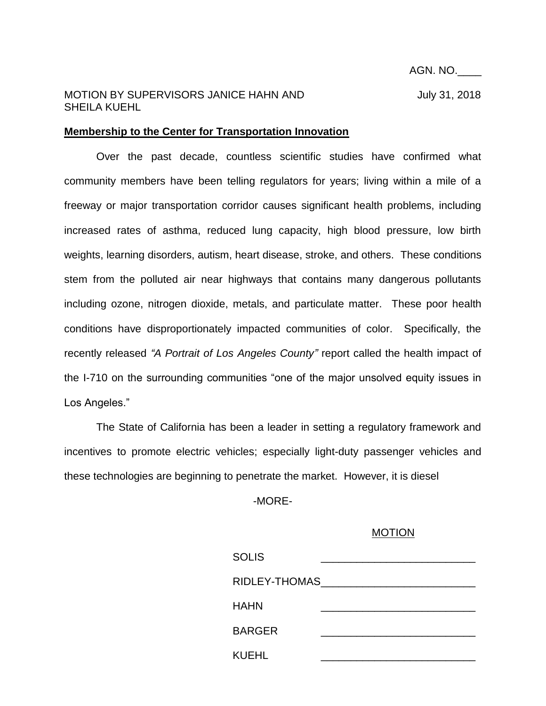## MOTION BY SUPERVISORS JANICE HAHN AND July 31, 2018 SHEILA KUEHL

## **Membership to the Center for Transportation Innovation**

Over the past decade, countless scientific studies have confirmed what community members have been telling regulators for years; living within a mile of a freeway or major transportation corridor causes significant health problems, including increased rates of asthma, reduced lung capacity, high blood pressure, low birth weights, learning disorders, autism, heart disease, stroke, and others. These conditions stem from the polluted air near highways that contains many dangerous pollutants including ozone, nitrogen dioxide, metals, and particulate matter. These poor health conditions have disproportionately impacted communities of color. Specifically, the recently released *"A Portrait of Los Angeles County"* report called the health impact of the I-710 on the surrounding communities "one of the major unsolved equity issues in Los Angeles."

The State of California has been a leader in setting a regulatory framework and incentives to promote electric vehicles; especially light-duty passenger vehicles and these technologies are beginning to penetrate the market. However, it is diesel

-MORE-

## MOTION

| <b>SOLIS</b>  |  |
|---------------|--|
| RIDLEY-THOMAS |  |
| <b>HAHN</b>   |  |
| <b>BARGER</b> |  |
| <b>KUEHL</b>  |  |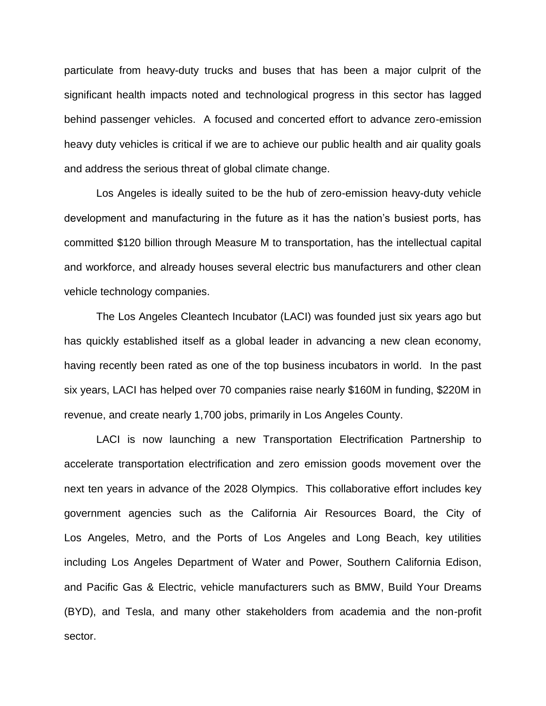particulate from heavy-duty trucks and buses that has been a major culprit of the significant health impacts noted and technological progress in this sector has lagged behind passenger vehicles. A focused and concerted effort to advance zero-emission heavy duty vehicles is critical if we are to achieve our public health and air quality goals and address the serious threat of global climate change.

Los Angeles is ideally suited to be the hub of zero-emission heavy-duty vehicle development and manufacturing in the future as it has the nation's busiest ports, has committed \$120 billion through Measure M to transportation, has the intellectual capital and workforce, and already houses several electric bus manufacturers and other clean vehicle technology companies.

The Los Angeles Cleantech Incubator (LACI) was founded just six years ago but has quickly established itself as a global leader in advancing a new clean economy, having recently been rated as one of the top business incubators in world. In the past six years, LACI has helped over 70 companies raise nearly \$160M in funding, \$220M in revenue, and create nearly 1,700 jobs, primarily in Los Angeles County.

LACI is now launching a new Transportation Electrification Partnership to accelerate transportation electrification and zero emission goods movement over the next ten years in advance of the 2028 Olympics. This collaborative effort includes key government agencies such as the California Air Resources Board, the City of Los Angeles, Metro, and the Ports of Los Angeles and Long Beach, key utilities including Los Angeles Department of Water and Power, Southern California Edison, and Pacific Gas & Electric, vehicle manufacturers such as BMW, Build Your Dreams (BYD), and Tesla, and many other stakeholders from academia and the non-profit sector.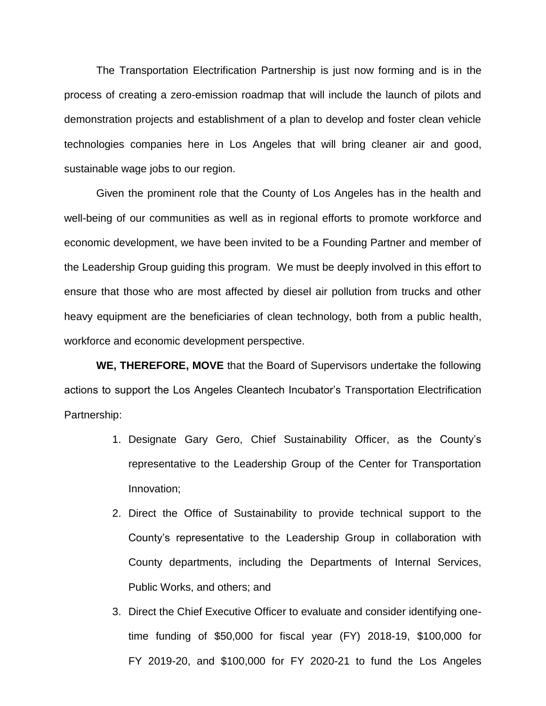The Transportation Electrification Partnership is just now forming and is in the process of creating a zero-emission roadmap that will include the launch of pilots and demonstration projects and establishment of a plan to develop and foster clean vehicle technologies companies here in Los Angeles that will bring cleaner air and good, sustainable wage jobs to our region.

Given the prominent role that the County of Los Angeles has in the health and well-being of our communities as well as in regional efforts to promote workforce and economic development, we have been invited to be a Founding Partner and member of the Leadership Group guiding this program. We must be deeply involved in this effort to ensure that those who are most affected by diesel air pollution from trucks and other heavy equipment are the beneficiaries of clean technology, both from a public health, workforce and economic development perspective.

**WE, THEREFORE, MOVE** that the Board of Supervisors undertake the following actions to support the Los Angeles Cleantech Incubator's Transportation Electrification Partnership:

- 1. Designate Gary Gero, Chief Sustainability Officer, as the County's representative to the Leadership Group of the Center for Transportation Innovation;
- 2. Direct the Office of Sustainability to provide technical support to the County's representative to the Leadership Group in collaboration with County departments, including the Departments of Internal Services, Public Works, and others; and
- 3. Direct the Chief Executive Officer to evaluate and consider identifying onetime funding of \$50,000 for fiscal year (FY) 2018-19, \$100,000 for FY 2019-20, and \$100,000 for FY 2020-21 to fund the Los Angeles